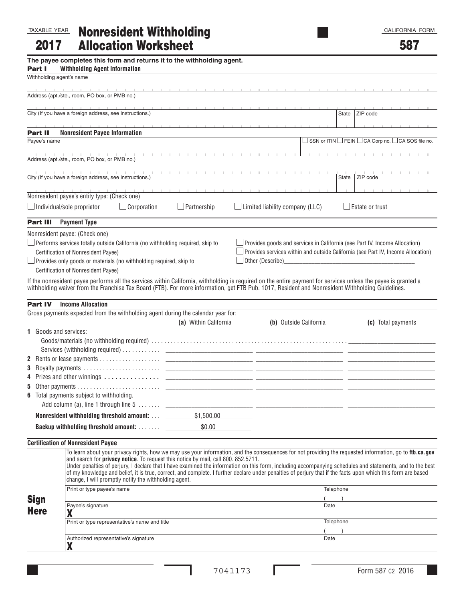| TAXABLE YEAR                       |                                                                       | <b>Nonresident Withholding</b>                                                                                                                                     |                                                                                                                                                  |  |                                        |  |                       | CALIFORNIA FORM                                                                                                                                                                                                                                                                                                                                                                                                                                                                      |  |
|------------------------------------|-----------------------------------------------------------------------|--------------------------------------------------------------------------------------------------------------------------------------------------------------------|--------------------------------------------------------------------------------------------------------------------------------------------------|--|----------------------------------------|--|-----------------------|--------------------------------------------------------------------------------------------------------------------------------------------------------------------------------------------------------------------------------------------------------------------------------------------------------------------------------------------------------------------------------------------------------------------------------------------------------------------------------------|--|
| 2017                               |                                                                       | <b>Allocation Worksheet</b>                                                                                                                                        |                                                                                                                                                  |  |                                        |  |                       | 587                                                                                                                                                                                                                                                                                                                                                                                                                                                                                  |  |
|                                    |                                                                       |                                                                                                                                                                    | The payee completes this form and returns it to the withholding agent.                                                                           |  |                                        |  |                       |                                                                                                                                                                                                                                                                                                                                                                                                                                                                                      |  |
| Part I<br>Withholding agent's name | <b>Withholding Agent Information</b>                                  |                                                                                                                                                                    |                                                                                                                                                  |  |                                        |  |                       |                                                                                                                                                                                                                                                                                                                                                                                                                                                                                      |  |
|                                    |                                                                       |                                                                                                                                                                    |                                                                                                                                                  |  |                                        |  |                       |                                                                                                                                                                                                                                                                                                                                                                                                                                                                                      |  |
|                                    | Address (apt./ste., room, PO box, or PMB no.)                         |                                                                                                                                                                    |                                                                                                                                                  |  |                                        |  |                       |                                                                                                                                                                                                                                                                                                                                                                                                                                                                                      |  |
|                                    | City (If you have a foreign address, see instructions.)               |                                                                                                                                                                    |                                                                                                                                                  |  |                                        |  | State                 | ZIP code                                                                                                                                                                                                                                                                                                                                                                                                                                                                             |  |
| <b>Part II</b>                     | <b>Nonresident Payee Information</b>                                  |                                                                                                                                                                    |                                                                                                                                                  |  |                                        |  |                       |                                                                                                                                                                                                                                                                                                                                                                                                                                                                                      |  |
| Payee's name                       |                                                                       |                                                                                                                                                                    |                                                                                                                                                  |  |                                        |  |                       | $\Box$ SSN or ITIN $\Box$ FEIN $\Box$ CA Corp no. $\Box$ CA SOS file no.                                                                                                                                                                                                                                                                                                                                                                                                             |  |
|                                    | Address (apt./ste., room, PO box, or PMB no.)                         |                                                                                                                                                                    |                                                                                                                                                  |  |                                        |  | <b>The Controller</b> |                                                                                                                                                                                                                                                                                                                                                                                                                                                                                      |  |
|                                    | City (If you have a foreign address, see instructions.)               |                                                                                                                                                                    |                                                                                                                                                  |  |                                        |  | State                 | ZIP code                                                                                                                                                                                                                                                                                                                                                                                                                                                                             |  |
|                                    | Nonresident payee's entity type: (Check one)                          |                                                                                                                                                                    |                                                                                                                                                  |  |                                        |  |                       | and a straightful and a straight                                                                                                                                                                                                                                                                                                                                                                                                                                                     |  |
|                                    | $\Box$ Individual/sole proprietor                                     | $\Box$ Corporation                                                                                                                                                 | $\Box$ Partnership                                                                                                                               |  |                                        |  |                       | $\Box$ Estate or trust                                                                                                                                                                                                                                                                                                                                                                                                                                                               |  |
|                                    |                                                                       |                                                                                                                                                                    |                                                                                                                                                  |  | $\Box$ Limited liability company (LLC) |  |                       |                                                                                                                                                                                                                                                                                                                                                                                                                                                                                      |  |
| <b>Part III</b>                    | <b>Payment Type</b>                                                   |                                                                                                                                                                    |                                                                                                                                                  |  |                                        |  |                       |                                                                                                                                                                                                                                                                                                                                                                                                                                                                                      |  |
|                                    | Nonresident payee: (Check one)<br>Certification of Nonresident Payee) | $\Box$ Performs services totally outside California (no withholding required, skip to<br>$\Box$ Provides only goods or materials (no withholding required, skip to |                                                                                                                                                  |  | Other (Describe)                       |  |                       | Provides goods and services in California (see Part IV, Income Allocation)<br>Provides services within and outside California (see Part IV, Income Allocation)                                                                                                                                                                                                                                                                                                                       |  |
|                                    | Certification of Nonresident Payee)                                   |                                                                                                                                                                    |                                                                                                                                                  |  |                                        |  |                       |                                                                                                                                                                                                                                                                                                                                                                                                                                                                                      |  |
|                                    |                                                                       |                                                                                                                                                                    | withholding waiver from the Franchise Tax Board (FTB). For more information, get FTB Pub. 1017, Resident and Nonresident Withholding Guidelines. |  |                                        |  |                       | If the nonresident payee performs all the services within California, withholding is required on the entire payment for services unless the payee is granted a                                                                                                                                                                                                                                                                                                                       |  |
|                                    |                                                                       |                                                                                                                                                                    |                                                                                                                                                  |  |                                        |  |                       |                                                                                                                                                                                                                                                                                                                                                                                                                                                                                      |  |
| <b>Part IV</b>                     | <b>Income Allocation</b>                                              |                                                                                                                                                                    |                                                                                                                                                  |  |                                        |  |                       |                                                                                                                                                                                                                                                                                                                                                                                                                                                                                      |  |
|                                    |                                                                       |                                                                                                                                                                    | Gross payments expected from the withholding agent during the calendar year for:<br>(a) Within California                                        |  |                                        |  |                       | (c) Total payments                                                                                                                                                                                                                                                                                                                                                                                                                                                                   |  |
| <b>1</b> Goods and services:       |                                                                       |                                                                                                                                                                    |                                                                                                                                                  |  | (b) Outside California                 |  |                       |                                                                                                                                                                                                                                                                                                                                                                                                                                                                                      |  |
|                                    |                                                                       |                                                                                                                                                                    |                                                                                                                                                  |  |                                        |  |                       |                                                                                                                                                                                                                                                                                                                                                                                                                                                                                      |  |
|                                    |                                                                       |                                                                                                                                                                    |                                                                                                                                                  |  |                                        |  |                       |                                                                                                                                                                                                                                                                                                                                                                                                                                                                                      |  |
|                                    |                                                                       |                                                                                                                                                                    |                                                                                                                                                  |  |                                        |  |                       |                                                                                                                                                                                                                                                                                                                                                                                                                                                                                      |  |
| 3                                  |                                                                       | Royalty payments                                                                                                                                                   |                                                                                                                                                  |  |                                        |  |                       |                                                                                                                                                                                                                                                                                                                                                                                                                                                                                      |  |
|                                    |                                                                       |                                                                                                                                                                    |                                                                                                                                                  |  |                                        |  |                       |                                                                                                                                                                                                                                                                                                                                                                                                                                                                                      |  |
|                                    |                                                                       |                                                                                                                                                                    |                                                                                                                                                  |  |                                        |  |                       |                                                                                                                                                                                                                                                                                                                                                                                                                                                                                      |  |
|                                    | 6 Total payments subject to withholding.                              |                                                                                                                                                                    |                                                                                                                                                  |  |                                        |  |                       |                                                                                                                                                                                                                                                                                                                                                                                                                                                                                      |  |
|                                    |                                                                       |                                                                                                                                                                    |                                                                                                                                                  |  |                                        |  |                       |                                                                                                                                                                                                                                                                                                                                                                                                                                                                                      |  |
|                                    |                                                                       |                                                                                                                                                                    |                                                                                                                                                  |  |                                        |  |                       |                                                                                                                                                                                                                                                                                                                                                                                                                                                                                      |  |
|                                    |                                                                       |                                                                                                                                                                    |                                                                                                                                                  |  |                                        |  |                       |                                                                                                                                                                                                                                                                                                                                                                                                                                                                                      |  |
|                                    | <b>Certification of Nonresident Payee</b>                             |                                                                                                                                                                    |                                                                                                                                                  |  |                                        |  |                       |                                                                                                                                                                                                                                                                                                                                                                                                                                                                                      |  |
|                                    |                                                                       | change, I will promptly notify the withholding agent.                                                                                                              | and search for privacy notice. To request this notice by mail, call 800. 852.5711.                                                               |  |                                        |  |                       | To learn about your privacy rights, how we may use your information, and the consequences for not providing the requested information, go to ftb.ca.gov<br>Under penalties of perjury, I declare that I have examined the information on this form, including accompanying schedules and statements, and to the best<br>of my knowledge and belief, it is true, correct, and complete. I further declare under penalties of perjury that if the facts upon which this form are based |  |
| <b>Sign</b>                        | Print or type payee's name                                            |                                                                                                                                                                    |                                                                                                                                                  |  |                                        |  | Telephone             |                                                                                                                                                                                                                                                                                                                                                                                                                                                                                      |  |
| <b>Here</b>                        | Payee's signature<br>χ                                                |                                                                                                                                                                    |                                                                                                                                                  |  |                                        |  | Date                  |                                                                                                                                                                                                                                                                                                                                                                                                                                                                                      |  |
|                                    | Print or type representative's name and title                         |                                                                                                                                                                    |                                                                                                                                                  |  |                                        |  | Telephone             |                                                                                                                                                                                                                                                                                                                                                                                                                                                                                      |  |
|                                    |                                                                       | Authorized representative's signature                                                                                                                              |                                                                                                                                                  |  |                                        |  | Date                  |                                                                                                                                                                                                                                                                                                                                                                                                                                                                                      |  |

L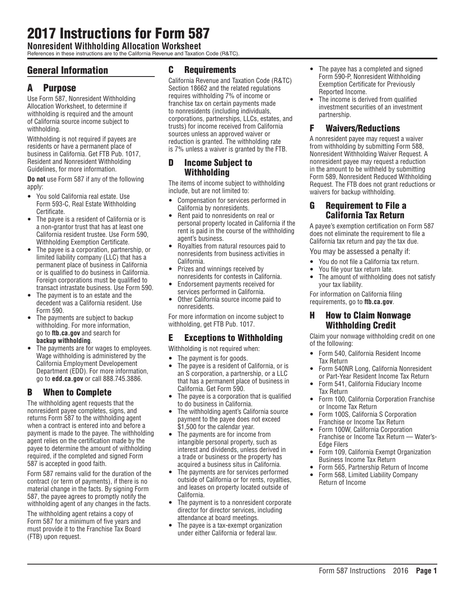# 2017 Instructions for Form 587

**Nonresident Withholding Allocation Worksheet**

References in these instructions are to the California Revenue and Taxation Code (R&TC).

# General Information

# A Purpose

Use Form 587, Nonresident Withholding Allocation Worksheet, to determine if withholding is required and the amount of California source income subject to withholding.

Withholding is not required if payees are residents or have a permanent place of business in California. Get FTB Pub. 1017, Resident and Nonresident Withholding Guidelines, for more information.

**Do not** use Form 587 if any of the following apply:

- You sold California real estate. Use Form 593-C, Real Estate Withholding Certificate.
- The payee is a resident of California or is a non-grantor trust that has at least one California resident trustee. Use Form 590, Withholding Exemption Certificate.
- The payee is a corporation, partnership, or limited liability company (LLC) that has a permanent place of business in California or is qualified to do business in California. Foreign corporations must be qualified to transact intrastate business. Use Form 590.
- The payment is to an estate and the decedent was a California resident. Use Form 590.
- The payments are subject to backup withholding. For more information, go to **ftb.ca.gov** and search for **backup withholding**.
- The payments are for wages to employees. Wage withholding is administered by the California Employment Developement Department (EDD). For more information, go to **edd.ca.gov** or call 888.745.3886.

### B When to Complete

The withholding agent requests that the nonresident payee completes, signs, and returns Form 587 to the withholding agent when a contract is entered into and before a payment is made to the payee. The withholding agent relies on the certification made by the payee to determine the amount of withholding required, if the completed and signed Form 587 is accepted in good faith.

Form 587 remains valid for the duration of the contract (or term of payments), if there is no material change in the facts. By signing Form 587, the payee agrees to promptly notify the withholding agent of any changes in the facts.

The withholding agent retains a copy of Form 587 for a minimum of five years and must provide it to the Franchise Tax Board (FTB) upon request.

### C Requirements

California Revenue and Taxation Code (R&TC) Section 18662 and the related regulations requires withholding 7% of income or franchise tax on certain payments made to nonresidents (including individuals, corporations, partnerships, LLCs, estates, and trusts) for income received from California sources unless an approved waiver or reduction is granted. The withholding rate is 7% unless a waiver is granted by the FTB.

### D Income Subject to Withholding

The items of income subject to withholding include, but are not limited to:

- Compensation for services performed in California by nonresidents.
- Rent paid to nonresidents on real or personal property located in California if the rent is paid in the course of the withholding agent's business.
- Royalties from natural resources paid to nonresidents from business activities in California.
- Prizes and winnings received by nonresidents for contests in California.
- Endorsement payments received for services performed in California.
- Other California source income paid to nonresidents.

For more information on income subject to withholding, get FTB Pub. 1017.

### E Exceptions to Withholding

- Withholding is not required when:
- The payment is for goods.
- The payee is a resident of California, or is an S corporation, a partnership, or a LLC that has a permanent place of business in California. Get Form 590.
- The payee is a corporation that is qualified to do business in California.
- The withholding agent's California source payment to the payee does not exceed \$1,500 for the calendar year.
- The payments are for income from intangible personal property, such as interest and dividends, unless derived in a trade or business or the property has acquired a business situs in California.
- The payments are for services performed outside of California or for rents, royalties, and leases on property located outside of California.
- The payment is to a nonresident corporate director for director services, including attendance at board meetings.
- The payee is a tax-exempt organization under either California or federal law.
- The payee has a completed and signed Form 590-P, Nonresident Withholding Exemption Certificate for Previously Reported Income.
- The income is derived from qualified investment securities of an investment partnership.

### F Waivers/Reductions

A nonresident payee may request a waiver from withholding by submitting Form 588, Nonresident Withholding Waiver Request. A nonresident payee may request a reduction in the amount to be withheld by submitting Form 589, Nonresident Reduced Withholding Request. The FTB does not grant reductions or waivers for backup withholding.

### G Requirement to File a California Tax Return

A payee's exemption certification on Form 587 does not eliminate the requirement to file a California tax return and pay the tax due.

You may be assessed a penalty if:

- You do not file a California tax return.
- You file your tax return late.<br>• The amount of withholding
- The amount of withholding does not satisfy your tax liability.

For information on California filing requirements, go to **ftb.ca.gov**.

### H How to Claim Nonwage Withholding Credit

Claim your nonwage withholding credit on one of the following:

- Form 540, California Resident Income Tax Return
- Form 540NR Long, California Nonresident or Part-Year Resident Income Tax Return
- Form 541, California Fiduciary Income Tax Return
- Form 100, California Corporation Franchise or Income Tax Return
- Form 100S, California S Corporation Franchise or Income Tax Return
- Form 100W, California Corporation Franchise or Income Tax Return — Water's-Edge Filers
- Form 109, California Exempt Organization Business Income Tax Return
- Form 565, Partnership Return of Income
- Form 568, Limited Liability Company Return of Income